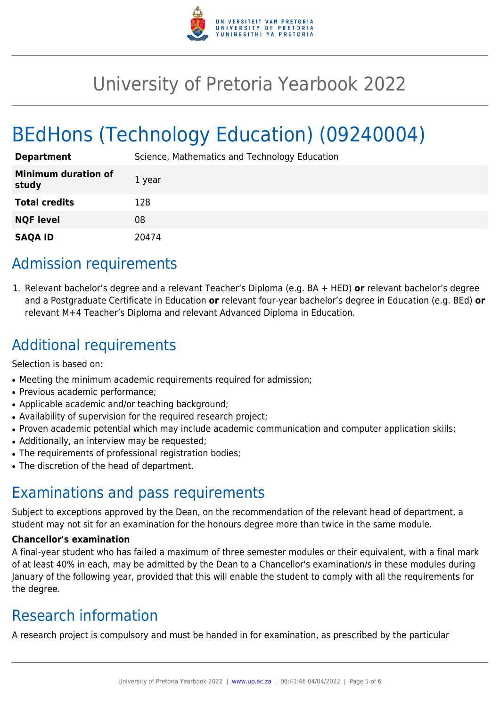

# University of Pretoria Yearbook 2022

# BEdHons (Technology Education) (09240004)

| <b>Department</b>                   | Science, Mathematics and Technology Education |
|-------------------------------------|-----------------------------------------------|
| <b>Minimum duration of</b><br>study | 1 year                                        |
| <b>Total credits</b>                | 128                                           |
| <b>NQF level</b>                    | 08                                            |
| <b>SAQA ID</b>                      | 20474                                         |

## Admission requirements

1. Relevant bachelor's degree and a relevant Teacher's Diploma (e.g. BA + HED) **or** relevant bachelor's degree and a Postgraduate Certificate in Education **or** relevant four-year bachelor's degree in Education (e.g. BEd) **or** relevant M+4 Teacher's Diploma and relevant Advanced Diploma in Education.

# Additional requirements

Selection is based on:

- Meeting the minimum academic requirements required for admission;
- Previous academic performance;
- Applicable academic and/or teaching background;
- Availability of supervision for the required research project;
- Proven academic potential which may include academic communication and computer application skills;
- Additionally, an interview may be requested;
- The requirements of professional registration bodies;
- The discretion of the head of department.

## Examinations and pass requirements

Subject to exceptions approved by the Dean, on the recommendation of the relevant head of department, a student may not sit for an examination for the honours degree more than twice in the same module.

#### **Chancellor's examination**

A final-year student who has failed a maximum of three semester modules or their equivalent, with a final mark of at least 40% in each, may be admitted by the Dean to a Chancellor's examination/s in these modules during January of the following year, provided that this will enable the student to comply with all the requirements for the degree.

## Research information

A research project is compulsory and must be handed in for examination, as prescribed by the particular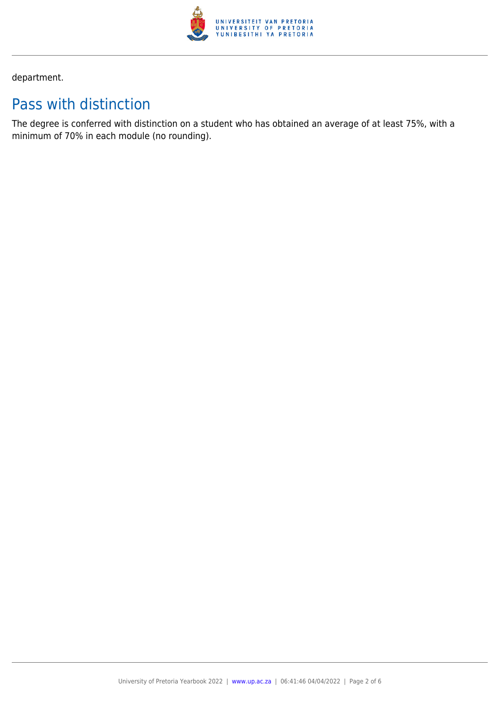

department.

# Pass with distinction

The degree is conferred with distinction on a student who has obtained an average of at least 75%, with a minimum of 70% in each module (no rounding).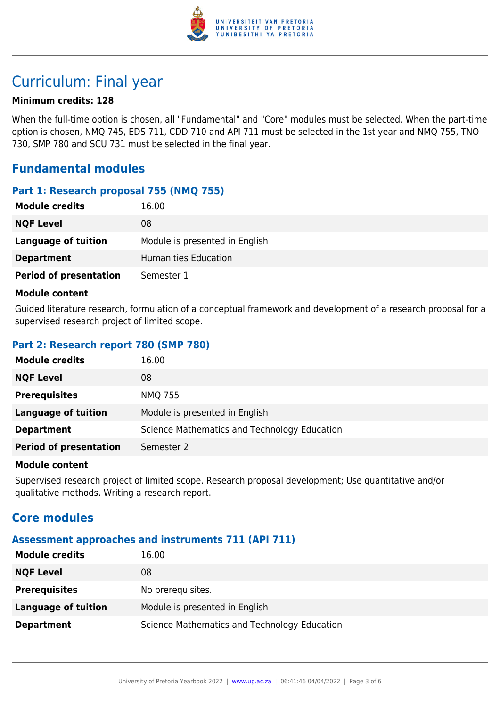

## Curriculum: Final year

#### **Minimum credits: 128**

When the full-time option is chosen, all "Fundamental" and "Core" modules must be selected. When the part-time option is chosen, NMQ 745, EDS 711, CDD 710 and API 711 must be selected in the 1st year and NMQ 755, TNO 730, SMP 780 and SCU 731 must be selected in the final year.

### **Fundamental modules**

#### **Part 1: Research proposal 755 (NMQ 755)**

| <b>Module credits</b>         | 16.00                          |
|-------------------------------|--------------------------------|
| <b>NQF Level</b>              | 08                             |
| Language of tuition           | Module is presented in English |
| <b>Department</b>             | Humanities Education           |
| <b>Period of presentation</b> | Semester 1                     |

#### **Module content**

Guided literature research, formulation of a conceptual framework and development of a research proposal for a supervised research project of limited scope.

#### **Part 2: Research report 780 (SMP 780)**

| <b>Module credits</b>         | 16.00                                        |
|-------------------------------|----------------------------------------------|
| <b>NQF Level</b>              | 08                                           |
| <b>Prerequisites</b>          | <b>NMQ 755</b>                               |
| <b>Language of tuition</b>    | Module is presented in English               |
| <b>Department</b>             | Science Mathematics and Technology Education |
| <b>Period of presentation</b> | Semester 2                                   |

#### **Module content**

Supervised research project of limited scope. Research proposal development; Use quantitative and/or qualitative methods. Writing a research report.

### **Core modules**

#### **Assessment approaches and instruments 711 (API 711)**

| <b>Module credits</b> | 16.00                                        |
|-----------------------|----------------------------------------------|
| <b>NQF Level</b>      | 08                                           |
| <b>Prerequisites</b>  | No prerequisites.                            |
| Language of tuition   | Module is presented in English               |
| <b>Department</b>     | Science Mathematics and Technology Education |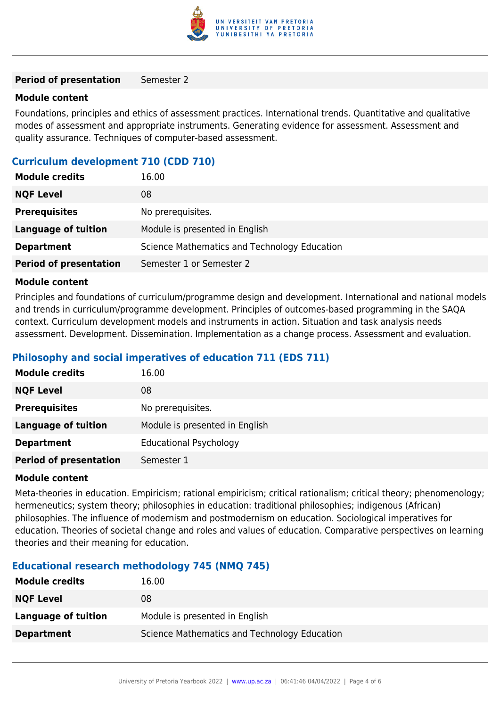

#### **Period of presentation** Semester 2

#### **Module content**

Foundations, principles and ethics of assessment practices. International trends. Quantitative and qualitative modes of assessment and appropriate instruments. Generating evidence for assessment. Assessment and quality assurance. Techniques of computer-based assessment.

#### **Curriculum development 710 (CDD 710)**

| <b>Module credits</b>         | 16.00                                        |
|-------------------------------|----------------------------------------------|
| <b>NQF Level</b>              | 08                                           |
| <b>Prerequisites</b>          | No prerequisites.                            |
| Language of tuition           | Module is presented in English               |
| <b>Department</b>             | Science Mathematics and Technology Education |
| <b>Period of presentation</b> | Semester 1 or Semester 2                     |

#### **Module content**

Principles and foundations of curriculum/programme design and development. International and national models and trends in curriculum/programme development. Principles of outcomes-based programming in the SAQA context. Curriculum development models and instruments in action. Situation and task analysis needs assessment. Development. Dissemination. Implementation as a change process. Assessment and evaluation.

#### **Philosophy and social imperatives of education 711 (EDS 711)**

| <b>Module credits</b>         | 16.00                          |
|-------------------------------|--------------------------------|
| <b>NQF Level</b>              | 08                             |
| <b>Prerequisites</b>          | No prerequisites.              |
| <b>Language of tuition</b>    | Module is presented in English |
| <b>Department</b>             | <b>Educational Psychology</b>  |
| <b>Period of presentation</b> | Semester 1                     |

#### **Module content**

Meta-theories in education. Empiricism; rational empiricism; critical rationalism; critical theory; phenomenology; hermeneutics; system theory; philosophies in education: traditional philosophies; indigenous (African) philosophies. The influence of modernism and postmodernism on education. Sociological imperatives for education. Theories of societal change and roles and values of education. Comparative perspectives on learning theories and their meaning for education.

#### **Educational research methodology 745 (NMQ 745)**

| <b>Module credits</b> | 16.00                                        |
|-----------------------|----------------------------------------------|
| <b>NQF Level</b>      | 08                                           |
| Language of tuition   | Module is presented in English               |
| <b>Department</b>     | Science Mathematics and Technology Education |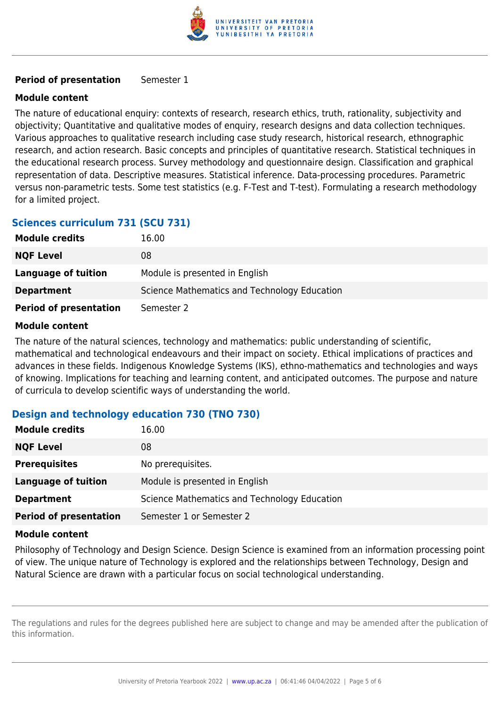

#### **Period of presentation** Semester 1

#### **Module content**

The nature of educational enquiry: contexts of research, research ethics, truth, rationality, subjectivity and objectivity; Quantitative and qualitative modes of enquiry, research designs and data collection techniques. Various approaches to qualitative research including case study research, historical research, ethnographic research, and action research. Basic concepts and principles of quantitative research. Statistical techniques in the educational research process. Survey methodology and questionnaire design. Classification and graphical representation of data. Descriptive measures. Statistical inference. Data-processing procedures. Parametric versus non-parametric tests. Some test statistics (e.g. F-Test and T-test). Formulating a research methodology for a limited project.

### **Sciences curriculum 731 (SCU 731)**

| <b>Module credits</b>         | 16.00                                        |
|-------------------------------|----------------------------------------------|
| <b>NQF Level</b>              | 08                                           |
| Language of tuition           | Module is presented in English               |
| <b>Department</b>             | Science Mathematics and Technology Education |
| <b>Period of presentation</b> | Semester 2                                   |

#### **Module content**

The nature of the natural sciences, technology and mathematics: public understanding of scientific, mathematical and technological endeavours and their impact on society. Ethical implications of practices and advances in these fields. Indigenous Knowledge Systems (IKS), ethno-mathematics and technologies and ways of knowing. Implications for teaching and learning content, and anticipated outcomes. The purpose and nature of curricula to develop scientific ways of understanding the world.

### **Design and technology education 730 (TNO 730)**

| <b>Module credits</b>         | 16.00                                        |
|-------------------------------|----------------------------------------------|
| <b>NQF Level</b>              | 08                                           |
| <b>Prerequisites</b>          | No prerequisites.                            |
| <b>Language of tuition</b>    | Module is presented in English               |
| <b>Department</b>             | Science Mathematics and Technology Education |
| <b>Period of presentation</b> | Semester 1 or Semester 2                     |

#### **Module content**

Philosophy of Technology and Design Science. Design Science is examined from an information processing point of view. The unique nature of Technology is explored and the relationships between Technology, Design and Natural Science are drawn with a particular focus on social technological understanding.

The regulations and rules for the degrees published here are subject to change and may be amended after the publication of this information.